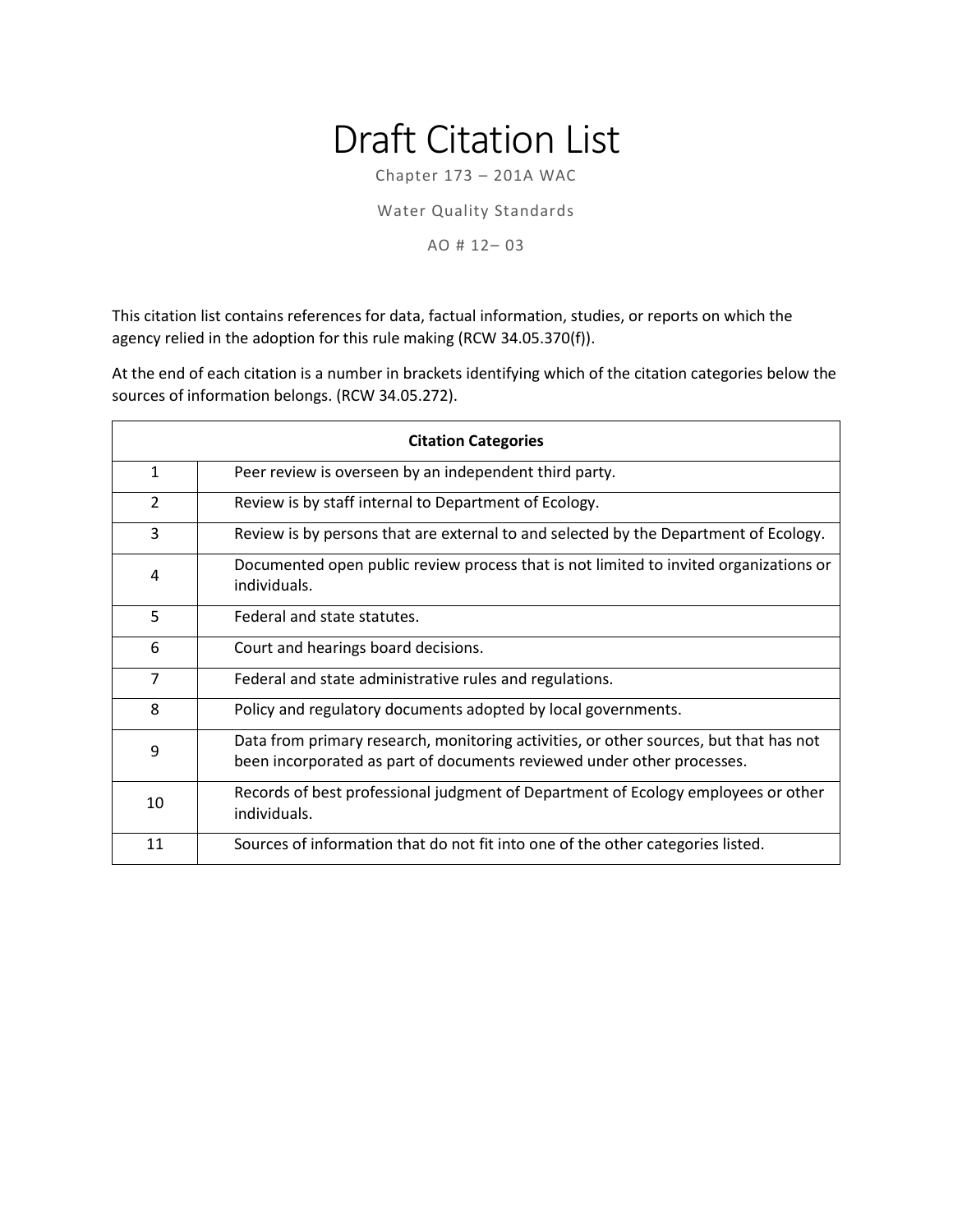## Draft Citation List

Chapter 173 – 201A WAC

Water Quality Standards

AO # 12– 03

This citation list contains references for data, factual information, studies, or reports on which the agency relied in the adoption for this rule making (RCW 34.05.370(f)).

At the end of each citation is a number in brackets identifying which of the citation categories below the sources of information belongs. (RCW 34.05.272).

| <b>Citation Categories</b> |                                                                                                                                                                 |
|----------------------------|-----------------------------------------------------------------------------------------------------------------------------------------------------------------|
| $\mathbf{1}$               | Peer review is overseen by an independent third party.                                                                                                          |
| $\overline{2}$             | Review is by staff internal to Department of Ecology.                                                                                                           |
| 3                          | Review is by persons that are external to and selected by the Department of Ecology.                                                                            |
| 4                          | Documented open public review process that is not limited to invited organizations or<br>individuals.                                                           |
| 5                          | Federal and state statutes.                                                                                                                                     |
| 6                          | Court and hearings board decisions.                                                                                                                             |
| $\overline{7}$             | Federal and state administrative rules and regulations.                                                                                                         |
| 8                          | Policy and regulatory documents adopted by local governments.                                                                                                   |
| 9                          | Data from primary research, monitoring activities, or other sources, but that has not<br>been incorporated as part of documents reviewed under other processes. |
| 10                         | Records of best professional judgment of Department of Ecology employees or other<br>individuals.                                                               |
| 11                         | Sources of information that do not fit into one of the other categories listed.                                                                                 |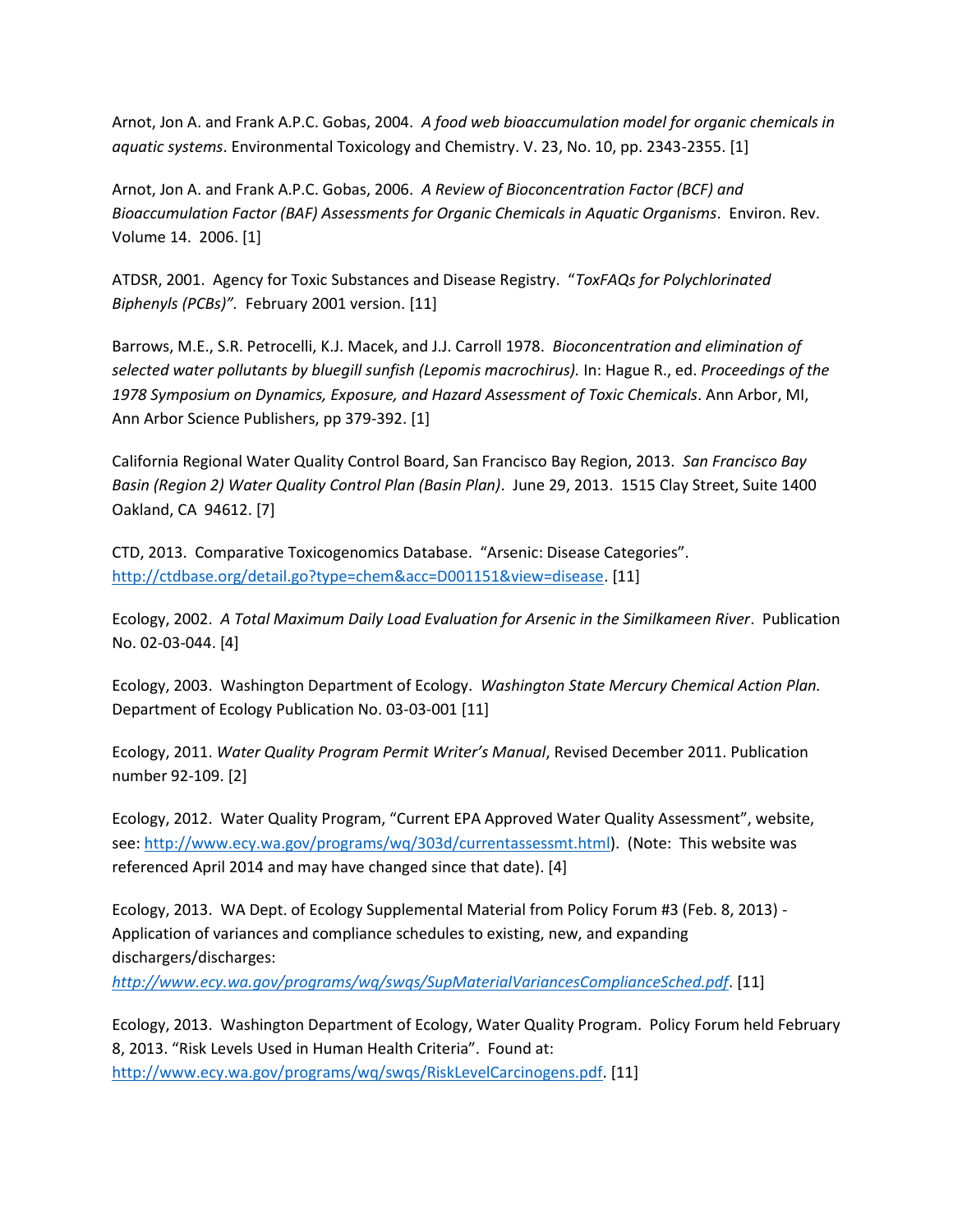Arnot, Jon A. and Frank A.P.C. Gobas, 2004. *A food web bioaccumulation model for organic chemicals in aquatic systems*. Environmental Toxicology and Chemistry. V. 23, No. 10, pp. 2343-2355. [1]

Arnot, Jon A. and Frank A.P.C. Gobas, 2006. *A Review of Bioconcentration Factor (BCF) and Bioaccumulation Factor (BAF) Assessments for Organic Chemicals in Aquatic Organisms*. Environ. Rev. Volume 14. 2006. [1]

ATDSR, 2001. Agency for Toxic Substances and Disease Registry. "*ToxFAQs for Polychlorinated Biphenyls (PCBs)".* February 2001 version. [11]

Barrows, M.E., S.R. Petrocelli, K.J. Macek, and J.J. Carroll 1978. *Bioconcentration and elimination of selected water pollutants by bluegill sunfish (Lepomis macrochirus).* In: Hague R., ed. *Proceedings of the 1978 Symposium on Dynamics, Exposure, and Hazard Assessment of Toxic Chemicals*. Ann Arbor, MI, Ann Arbor Science Publishers, pp 379-392. [1]

California Regional Water Quality Control Board, San Francisco Bay Region, 2013. *San Francisco Bay Basin (Region 2) Water Quality Control Plan (Basin Plan)*. June 29, 2013. 1515 Clay Street, Suite 1400 Oakland, CA 94612. [7]

CTD, 2013. Comparative Toxicogenomics Database. "Arsenic: Disease Categories". [http://ctdbase.org/detail.go?type=chem&acc=D001151&view=disease.](http://ctdbase.org/detail.go?type=chem&acc=D001151&view=disease) [11]

Ecology, 2002. *A Total Maximum Daily Load Evaluation for Arsenic in the Similkameen River*. Publication No. 02-03-044. [4]

Ecology, 2003. Washington Department of Ecology. *Washington State Mercury Chemical Action Plan.* Department of Ecology Publication No. 03-03-001 [11]

Ecology, 2011. *Water Quality Program Permit Writer's Manual*, Revised December 2011. Publication number 92-109. [2]

Ecology, 2012. Water Quality Program, "Current EPA Approved Water Quality Assessment", website, see[: http://www.ecy.wa.gov/programs/wq/303d/currentassessmt.html\)](http://www.ecy.wa.gov/programs/wq/303d/currentassessmt.html). (Note: This website was referenced April 2014 and may have changed since that date). [4]

Ecology, 2013. WA Dept. of Ecology Supplemental Material from Policy Forum #3 (Feb. 8, 2013) - Application of variances and compliance schedules to existing, new, and expanding dischargers/discharges:

*[http://www.ecy.wa.gov/programs/wq/swqs/SupMaterialVariancesComplianceSched.pdf](http://www.waterboards.ca.gov/sanfranciscobay/water_issues/programs/planningtmdls/basinplan/web/docs/bp_ch3+tables.pdf)*. [11]

Ecology, 2013. Washington Department of Ecology, Water Quality Program. Policy Forum held February 8, 2013. "Risk Levels Used in Human Health Criteria". Found at: [http://www.ecy.wa.gov/programs/wq/swqs/RiskLevelCarcinogens.pdf.](http://www.ecy.wa.gov/programs/wq/swqs/RiskLevelCarcinogens.pdf) [11]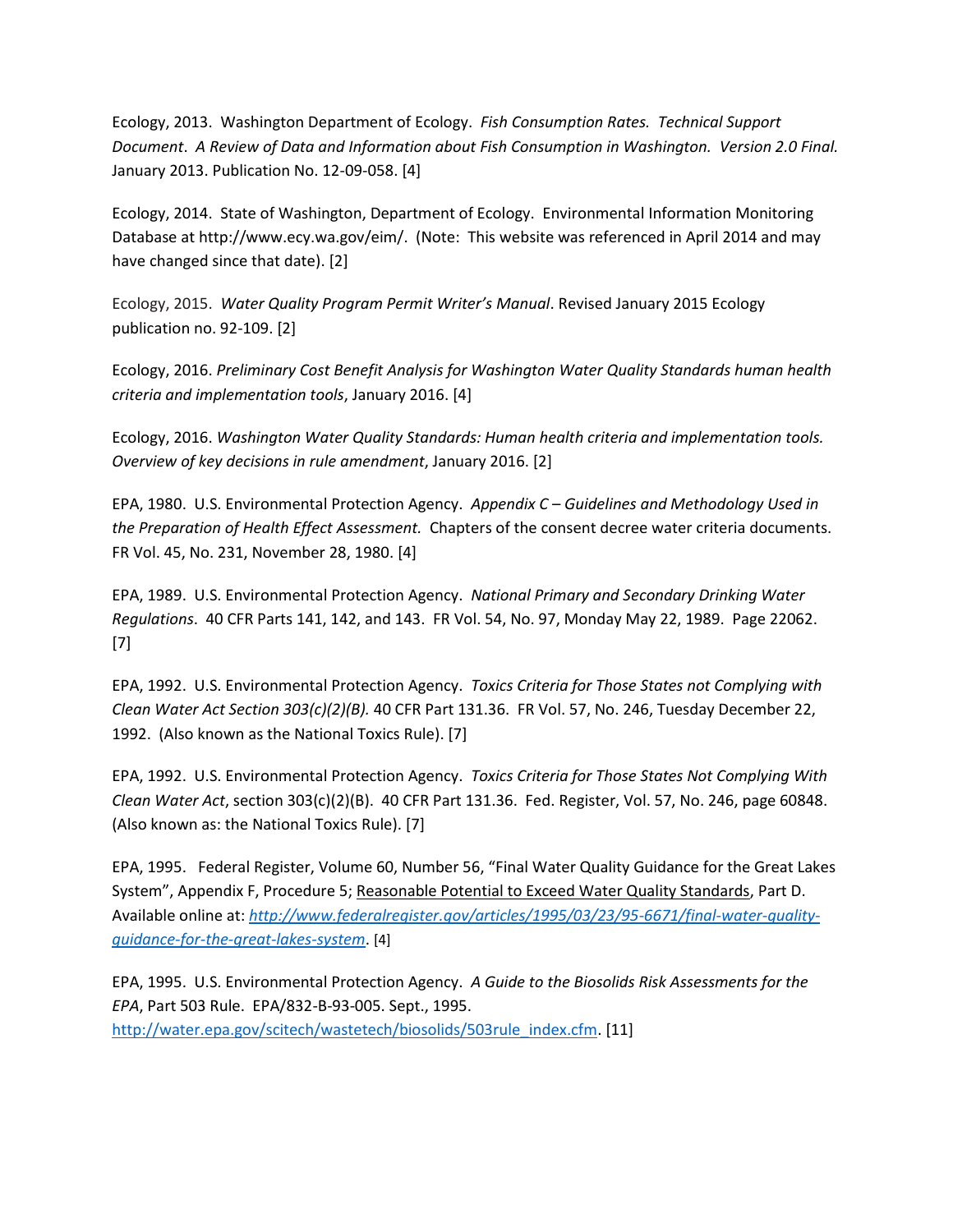Ecology, 2013. Washington Department of Ecology. *Fish Consumption Rates. Technical Support Document*. *A Review of Data and Information about Fish Consumption in Washington. Version 2.0 Final.*  January 2013. Publication No. 12-09-058. [4]

Ecology, 2014. State of Washington, Department of Ecology. Environmental Information Monitoring Database at http://www.ecy.wa.gov/eim/. (Note: This website was referenced in April 2014 and may have changed since that date). [2]

Ecology, 2015. *Water Quality Program Permit Writer's Manual*. Revised January 2015 Ecology publication no. 92-109. [2]

Ecology, 2016. *Preliminary Cost Benefit Analysis for Washington Water Quality Standards human health criteria and implementation tools*, January 2016. [4]

Ecology, 2016. *Washington Water Quality Standards: Human health criteria and implementation tools. Overview of key decisions in rule amendment*, January 2016. [2]

EPA, 1980. U.S. Environmental Protection Agency. *Appendix C* – *Guidelines and Methodology Used in the Preparation of Health Effect Assessment.* Chapters of the consent decree water criteria documents. FR Vol. 45, No. 231, November 28, 1980. [4]

EPA, 1989. U.S. Environmental Protection Agency. *National Primary and Secondary Drinking Water Regulations*. 40 CFR Parts 141, 142, and 143. FR Vol. 54, No. 97, Monday May 22, 1989. Page 22062. [7]

EPA, 1992. U.S. Environmental Protection Agency. *Toxics Criteria for Those States not Complying with Clean Water Act Section 303(c)(2)(B).* 40 CFR Part 131.36. FR Vol. 57, No. 246, Tuesday December 22, 1992. (Also known as the National Toxics Rule). [7]

EPA, 1992. U.S. Environmental Protection Agency. *Toxics Criteria for Those States Not Complying With Clean Water Act*, section 303(c)(2)(B). 40 CFR Part 131.36. Fed. Register, Vol. 57, No. 246, page 60848. (Also known as: the National Toxics Rule). [7]

EPA, 1995. Federal Register, Volume 60, Number 56, "Final Water Quality Guidance for the Great Lakes System", Appendix F, Procedure 5; Reasonable Potential to Exceed Water Quality Standards, Part D. Available online at: *[http://www.federalregister.gov/articles/1995/03/23/95-6671/final-water-quality](http://www.federalregister.gov/articles/1995/03/23/95-6671/final-water-quality-guidance-for-the-great-lakes-system)[guidance-for-the-great-lakes-system](http://www.federalregister.gov/articles/1995/03/23/95-6671/final-water-quality-guidance-for-the-great-lakes-system)*. [4]

EPA, 1995. U.S. Environmental Protection Agency. *A Guide to the Biosolids Risk Assessments for the EPA*, Part 503 Rule. EPA/832-B-93-005. Sept., 1995. [http://water.epa.gov/scitech/wastetech/biosolids/503rule\\_index.cfm.](http://water.epa.gov/scitech/wastetech/biosolids/503rule_index.cfm) [11]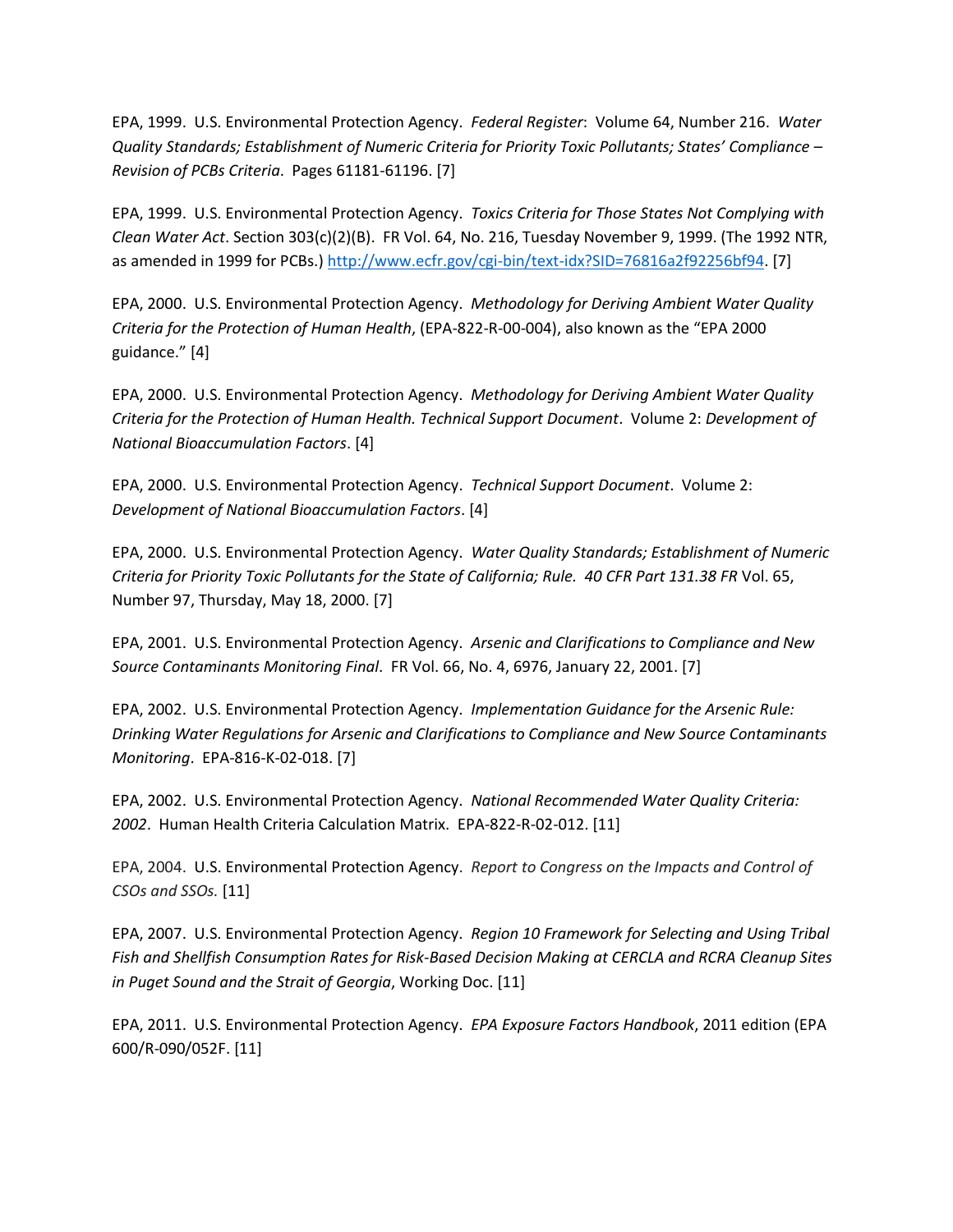EPA, 1999. U.S. Environmental Protection Agency. *Federal Register*: Volume 64, Number 216. *Water Quality Standards; Establishment of Numeric Criteria for Priority Toxic Pollutants; States' Compliance – Revision of PCBs Criteria*. Pages 61181-61196. [7]

EPA, 1999. U.S. Environmental Protection Agency. *Toxics Criteria for Those States Not Complying with Clean Water Act*. Section 303(c)(2)(B). FR Vol. 64, No. 216, Tuesday November 9, 1999. (The 1992 NTR, as amended in 1999 for PCBs.) [http://www.ecfr.gov/cgi-bin/text-idx?SID=76816a2f92256bf94.](http://www.ecfr.gov/cgi-bin/text-idx?SID=76816a2f92256bf94) [7]

EPA, 2000. U.S. Environmental Protection Agency. *Methodology for Deriving Ambient Water Quality Criteria for the Protection of Human Health*, (EPA-822-R-00-004), also known as the "EPA 2000 guidance." [4]

EPA, 2000. U.S. Environmental Protection Agency. *Methodology for Deriving Ambient Water Quality Criteria for the Protection of Human Health. Technical Support Document*. Volume 2: *Development of National Bioaccumulation Factors*. [4]

EPA, 2000. U.S. Environmental Protection Agency. *Technical Support Document*. Volume 2: *Development of National Bioaccumulation Factors*. [4]

EPA, 2000. U.S. Environmental Protection Agency. *Water Quality Standards; Establishment of Numeric Criteria for Priority Toxic Pollutants for the State of California; Rule. 40 CFR Part 131.38 FR* Vol. 65, Number 97, Thursday, May 18, 2000. [7]

EPA, 2001. U.S. Environmental Protection Agency. *Arsenic and Clarifications to Compliance and New Source Contaminants Monitoring Final*. FR Vol. 66, No. 4, 6976, January 22, 2001. [7]

EPA, 2002. U.S. Environmental Protection Agency. *Implementation Guidance for the Arsenic Rule: Drinking Water Regulations for Arsenic and Clarifications to Compliance and New Source Contaminants Monitoring*. EPA-816-K-02-018. [7]

EPA, 2002. U.S. Environmental Protection Agency. *National Recommended Water Quality Criteria: 2002*. Human Health Criteria Calculation Matrix. EPA-822-R-02-012. [11]

EPA, 2004. U.S. Environmental Protection Agency. *Report to Congress on the Impacts and Control of CSOs and SSOs.* [11]

EPA, 2007. U.S. Environmental Protection Agency. *Region 10 Framework for Selecting and Using Tribal Fish and Shellfish Consumption Rates for Risk-Based Decision Making at CERCLA and RCRA Cleanup Sites in Puget Sound and the Strait of Georgia*, Working Doc. [11]

EPA, 2011. U.S. Environmental Protection Agency. *EPA Exposure Factors Handbook*, 2011 edition (EPA 600/R-090/052F. [11]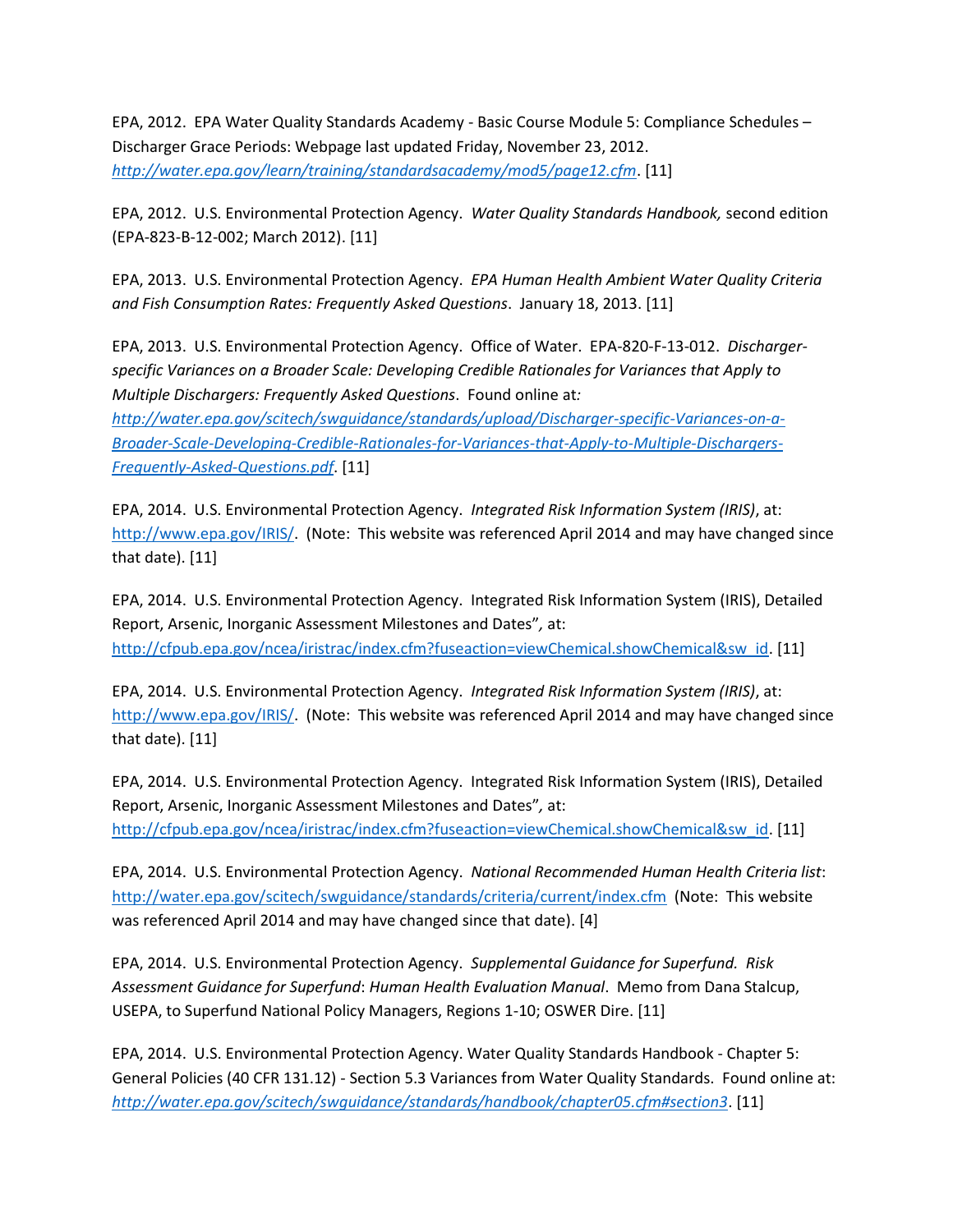EPA, 2012. EPA Water Quality Standards Academy - Basic Course Module 5: Compliance Schedules – Discharger Grace Periods: Webpage last updated Friday, November 23, 2012. *[http://water.epa.gov/learn/training/standardsacademy/mod5/page12.cfm](http://www.ecy.wa.gov/programs/wq/swqs/SupMaterialVariancesComplianceSched.pdf)*. [11]

EPA, 2012. U.S. Environmental Protection Agency. *Water Quality Standards Handbook,* second edition (EPA-823-B-12-002; March 2012). [11]

EPA, 2013. U.S. Environmental Protection Agency. *EPA Human Health Ambient Water Quality Criteria and Fish Consumption Rates: Frequently Asked Questions*. January 18, 2013. [11]

EPA, 2013. U.S. Environmental Protection Agency. Office of Water. EPA-820-F-13-012. *Dischargerspecific Variances on a Broader Scale: Developing Credible Rationales for Variances that Apply to Multiple Dischargers: Frequently Asked Questions*. Found online at*:* 

*[http://water.epa.gov/scitech/swguidance/standards/upload/Discharger-specific-Variances-on-a-](http://www.epa.gov/fedrgstr/EPA-WATER/2000/May/Day-18/w11106.pdf)[Broader-Scale-Developing-Credible-Rationales-for-Variances-that-Apply-to-Multiple-Dischargers-](http://www.epa.gov/fedrgstr/EPA-WATER/2000/May/Day-18/w11106.pdf)[Frequently-Asked-Questions.pdf](http://www.epa.gov/fedrgstr/EPA-WATER/2000/May/Day-18/w11106.pdf)*. [11]

EPA, 2014. U.S. Environmental Protection Agency. *Integrated Risk Information System (IRIS)*, at: [http://www.epa.gov/IRIS/.](http://www.epa.gov/IRIS/) (Note: This website was referenced April 2014 and may have changed since that date). [11]

EPA, 2014. U.S. Environmental Protection Agency. Integrated Risk Information System (IRIS), Detailed Report, Arsenic, Inorganic Assessment Milestones and Dates"*,* at: [http://cfpub.epa.gov/ncea/iristrac/index.cfm?fuseaction=viewChemical.showChemical&sw\\_id.](http://cfpub.epa.gov/ncea/iristrac/index.cfm?fuseaction=viewChemical.showChemical&sw_id) [11]

EPA, 2014. U.S. Environmental Protection Agency. *Integrated Risk Information System (IRIS)*, at: [http://www.epa.gov/IRIS/.](http://www.epa.gov/IRIS/) (Note: This website was referenced April 2014 and may have changed since that date). [11]

EPA, 2014. U.S. Environmental Protection Agency. Integrated Risk Information System (IRIS), Detailed Report, Arsenic, Inorganic Assessment Milestones and Dates"*,* at: [http://cfpub.epa.gov/ncea/iristrac/index.cfm?fuseaction=viewChemical.showChemical&sw\\_id.](http://cfpub.epa.gov/ncea/iristrac/index.cfm?fuseaction=viewChemical.showChemical&sw_id) [11]

EPA, 2014. U.S. Environmental Protection Agency. *National Recommended Human Health Criteria list*: <http://water.epa.gov/scitech/swguidance/standards/criteria/current/index.cfm>(Note: This website was referenced April 2014 and may have changed since that date). [4]

EPA, 2014. U.S. Environmental Protection Agency. *Supplemental Guidance for Superfund. Risk Assessment Guidance for Superfund*: *Human Health Evaluation Manual*. Memo from Dana Stalcup, USEPA, to Superfund National Policy Managers, Regions 1-10; OSWER Dire. [11]

EPA, 2014. U.S. Environmental Protection Agency. Water Quality Standards Handbook - Chapter 5: General Policies (40 CFR 131.12) - Section 5.3 Variances from Water Quality Standards. Found online at: *<http://water.epa.gov/scitech/swguidance/standards/handbook/chapter05.cfm#section3>*. [11]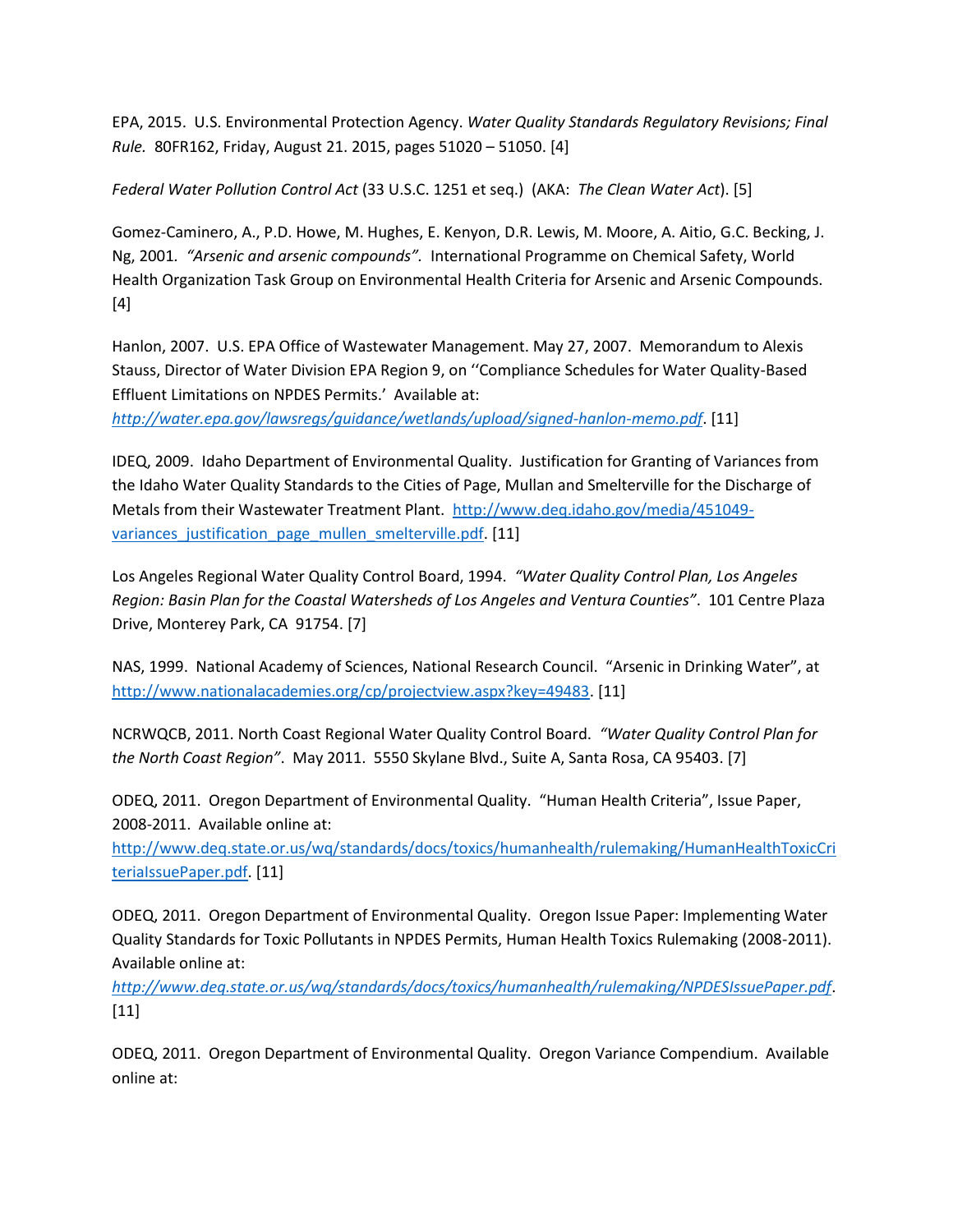EPA, 2015. U.S. Environmental Protection Agency. *Water Quality Standards Regulatory Revisions; Final Rule.* 80FR162, Friday, August 21. 2015, pages 51020 – 51050. [4]

*Federal Water Pollution Control Act* (33 U.S.C. 1251 et seq.) (AKA: *The Clean Water Act*). [5]

Gomez-Caminero, A., P.D. Howe, M. Hughes, E. Kenyon, D.R. Lewis, M. Moore, A. Aitio, G.C. Becking, J. Ng, 2001*. "Arsenic and arsenic compounds".* International Programme on Chemical Safety, World Health Organization Task Group on Environmental Health Criteria for Arsenic and Arsenic Compounds. [4]

Hanlon, 2007. U.S. EPA Office of Wastewater Management. May 27, 2007. Memorandum to Alexis Stauss, Director of Water Division EPA Region 9, on ''Compliance Schedules for Water Quality-Based Effluent Limitations on NPDES Permits.' Available at:

*[http://water.epa.gov/lawsregs/guidance/wetlands/upload/signed-hanlon-memo.pdf](http://water.epa.gov/scitech/wastetech/biosolids/503rule_index.cfm)*. [11]

IDEQ, 2009. Idaho Department of Environmental Quality. Justification for Granting of Variances from the Idaho Water Quality Standards to the Cities of Page, Mullan and Smelterville for the Discharge of Metals from their Wastewater Treatment Plant. [http://www.deq.idaho.gov/media/451049](http://water.epa.gov/scitech/wastetech/biosolids/) variances justification page mullen smelterville.pdf. [11]

Los Angeles Regional Water Quality Control Board, 1994. *"Water Quality Control Plan, Los Angeles Region: Basin Plan for the Coastal Watersheds of Los Angeles and Ventura Counties"*. 101 Centre Plaza Drive, Monterey Park, CA 91754. [7]

NAS, 1999. National Academy of Sciences, National Research Council. "Arsenic in Drinking Water", at [http://www.nationalacademies.org/cp/projectview.aspx?key=49483.](http://www.nationalacademies.org/cp/projectview.aspx?key=49483%20) [11]

NCRWQCB, 2011. North Coast Regional Water Quality Control Board. *"Water Quality Control Plan for the North Coast Region"*. May 2011. 5550 Skylane Blvd., Suite A, Santa Rosa, CA 95403. [7]

ODEQ, 2011. Oregon Department of Environmental Quality. "Human Health Criteria", Issue Paper, 2008-2011. Available online at:

[http://www.deq.state.or.us/wq/standards/docs/toxics/humanhealth/rulemaking/HumanHealthToxicCri](http://www.deq.state.or.us/wq/standards/docs/toxics/humanhealth/rulemaking/HumanHealthToxicCriteriaIssuePaper.pdf) [teriaIssuePaper.pdf.](http://www.deq.state.or.us/wq/standards/docs/toxics/humanhealth/rulemaking/HumanHealthToxicCriteriaIssuePaper.pdf) [11]

ODEQ, 2011. Oregon Department of Environmental Quality. Oregon Issue Paper: Implementing Water Quality Standards for Toxic Pollutants in NPDES Permits, Human Health Toxics Rulemaking (2008-2011). Available online at:

*<http://www.deq.state.or.us/wq/standards/docs/toxics/humanhealth/rulemaking/NPDESIssuePaper.pdf>*.  $[11]$ 

ODEQ, 2011. Oregon Department of Environmental Quality. Oregon Variance Compendium. Available online at: